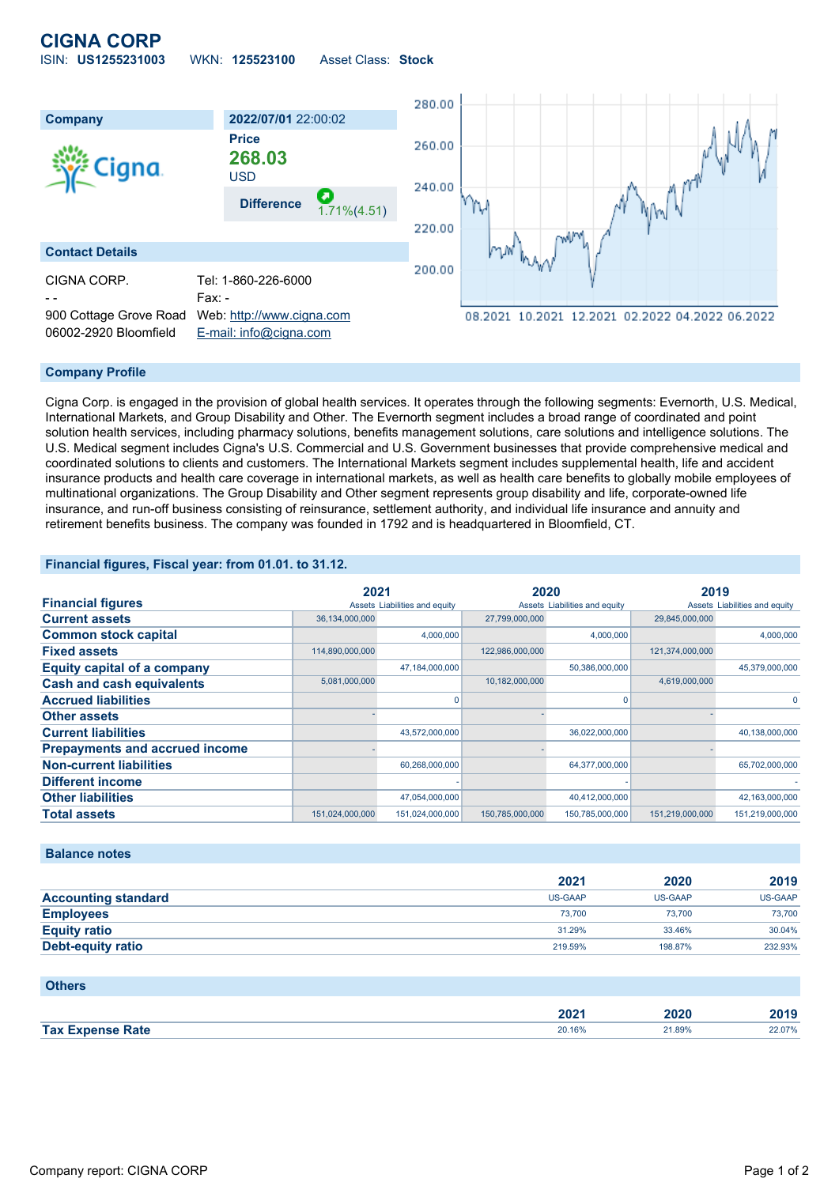## **CIGNA CORP**

ISIN: **US1255231003** WKN: **125523100** Asset Class: **Stock**



#### **Company Profile**

Cigna Corp. is engaged in the provision of global health services. It operates through the following segments: Evernorth, U.S. Medical, International Markets, and Group Disability and Other. The Evernorth segment includes a broad range of coordinated and point solution health services, including pharmacy solutions, benefits management solutions, care solutions and intelligence solutions. The U.S. Medical segment includes Cigna's U.S. Commercial and U.S. Government businesses that provide comprehensive medical and coordinated solutions to clients and customers. The International Markets segment includes supplemental health, life and accident insurance products and health care coverage in international markets, as well as health care benefits to globally mobile employees of multinational organizations. The Group Disability and Other segment represents group disability and life, corporate-owned life insurance, and run-off business consisting of reinsurance, settlement authority, and individual life insurance and annuity and retirement benefits business. The company was founded in 1792 and is headquartered in Bloomfield, CT.

#### **Financial figures, Fiscal year: from 01.01. to 31.12.**

|                                       | 2021                          |                 | 2020                          |                 | 2019                          |                 |
|---------------------------------------|-------------------------------|-----------------|-------------------------------|-----------------|-------------------------------|-----------------|
| <b>Financial figures</b>              | Assets Liabilities and equity |                 | Assets Liabilities and equity |                 | Assets Liabilities and equity |                 |
| <b>Current assets</b>                 | 36,134,000,000                |                 | 27,799,000,000                |                 | 29,845,000,000                |                 |
| <b>Common stock capital</b>           |                               | 4.000.000       |                               | 4,000,000       |                               | 4,000,000       |
| <b>Fixed assets</b>                   | 114,890,000,000               |                 | 122,986,000,000               |                 | 121,374,000,000               |                 |
| <b>Equity capital of a company</b>    |                               | 47,184,000,000  |                               | 50,386,000,000  |                               | 45,379,000,000  |
| <b>Cash and cash equivalents</b>      | 5,081,000,000                 |                 | 10,182,000,000                |                 | 4,619,000,000                 |                 |
| <b>Accrued liabilities</b>            |                               |                 |                               | 0               |                               |                 |
| <b>Other assets</b>                   |                               |                 |                               |                 |                               |                 |
| <b>Current liabilities</b>            |                               | 43,572,000,000  |                               | 36,022,000,000  |                               | 40,138,000,000  |
| <b>Prepayments and accrued income</b> |                               |                 |                               |                 |                               |                 |
| <b>Non-current liabilities</b>        |                               | 60,268,000,000  |                               | 64,377,000,000  |                               | 65,702,000,000  |
| <b>Different income</b>               |                               |                 |                               |                 |                               |                 |
| <b>Other liabilities</b>              |                               | 47,054,000,000  |                               | 40,412,000,000  |                               | 42,163,000,000  |
| <b>Total assets</b>                   | 151,024,000,000               | 151,024,000,000 | 150,785,000,000               | 150,785,000,000 | 151,219,000,000               | 151,219,000,000 |

#### **Balance notes**

|                            | 2021    | 2020           | 2019    |
|----------------------------|---------|----------------|---------|
| <b>Accounting standard</b> | US-GAAP | <b>US-GAAP</b> | US-GAAP |
| <b>Employees</b>           | 73,700  | 73.700         | 73,700  |
| <b>Equity ratio</b>        | 31.29%  | 33.46%         | 30.04%  |
| <b>Debt-equity ratio</b>   | 219.59% | 198.87%        | 232.93% |

#### **Others**

|       | 200<br>ZUZ I | annr   | 2010<br>20 I J |
|-------|--------------|--------|----------------|
| Tax I | 20.16%       | ?1.89% | 22.07%         |
| Rate  |              |        |                |